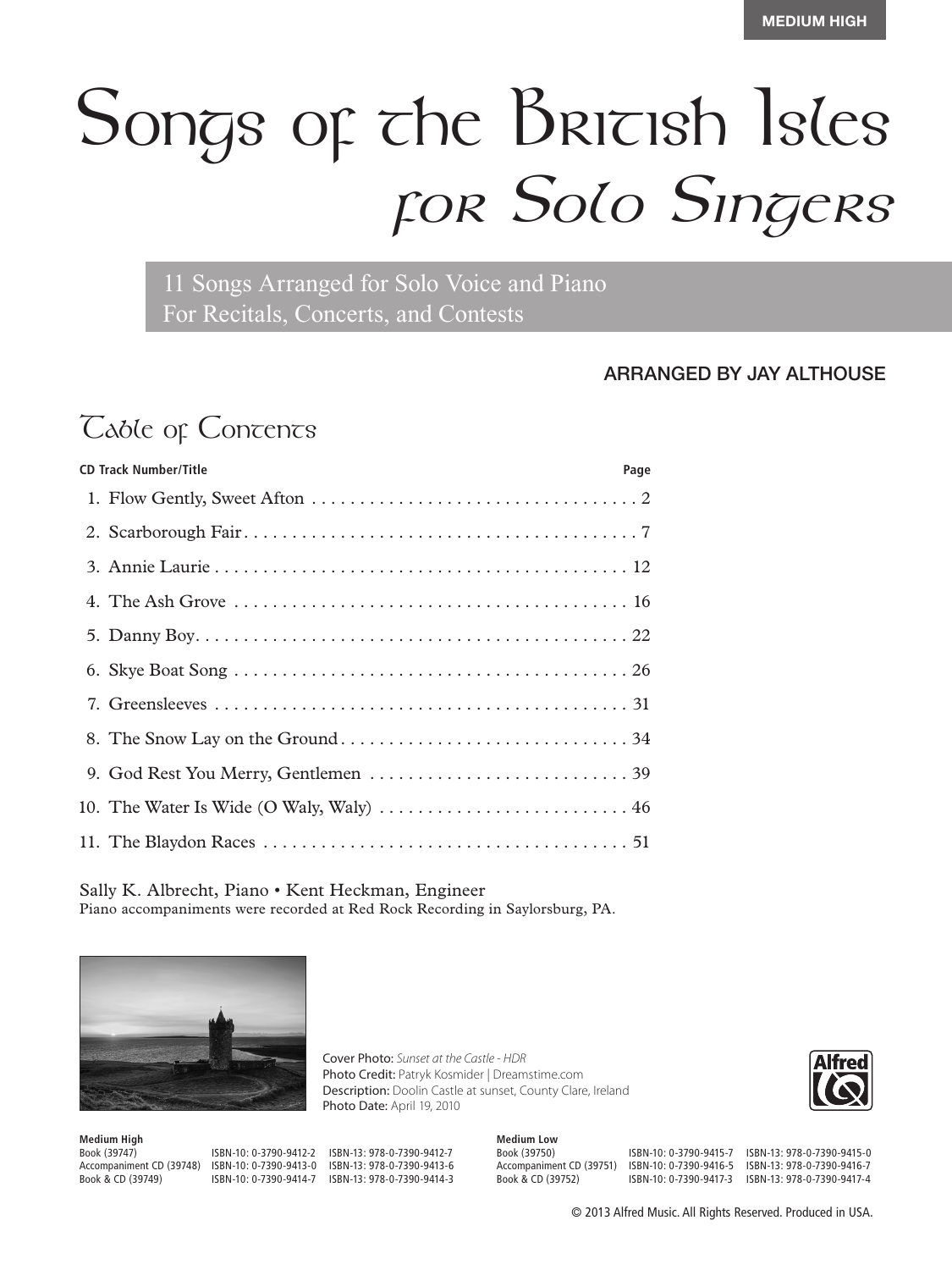# Songs of the British Isles *for Solo Singers*

11 Songs Arranged for Solo Voice and Piano For Recitals, Concerts, and Contests

#### ARRANGED BY JAY ALTHOUSE

## *Table of Concents*

| <b>CD Track Number/Title</b> |  |
|------------------------------|--|
|                              |  |
|                              |  |
|                              |  |
|                              |  |
|                              |  |
|                              |  |
|                              |  |
|                              |  |
|                              |  |
|                              |  |
|                              |  |

Sally K. Albrecht, Piano • Kent Heckman, Engineer Piano accompaniments were recorded at Red Rock Recording in Saylorsburg, PA.



**Medium High** Accompaniment CD (39748) ISBN-10: 0-7390-9413-0<br>Book & CD (39749) ISBN-10: 0-7390-9414-7

Book (39747) ISBN-10: 0-3790-9412-2 ISBN-13: 978-0-7390-9412-7 ISBN-13: 978-0-7390-9414-3

Photo Date: April 19, 2010

Cover Photo: *Sunset at the Castle - HDR*

Photo Credit: Patryk Kosmider | Dreamstime.com Description: Doolin Castle at sunset, County Clare, Ireland

> **Medium Low** Book (39750) ISBN-10: 0-3790-9415-7 ISBN-13: 978-0-7390-9415-0

Accompaniment CD (39751) ISBN-10: 0-7390-9416-5 ISBN-13: 978-0-7390-9416-7<br>Book & CD (39752) ISBN-10: 0-7390-9417-3 ISBN-13: 978-0-7390-9417-4 Book & CD (39752) ISBN-10: 0-7390-9417-3 ISBN-13: 978-0-7390-9417-4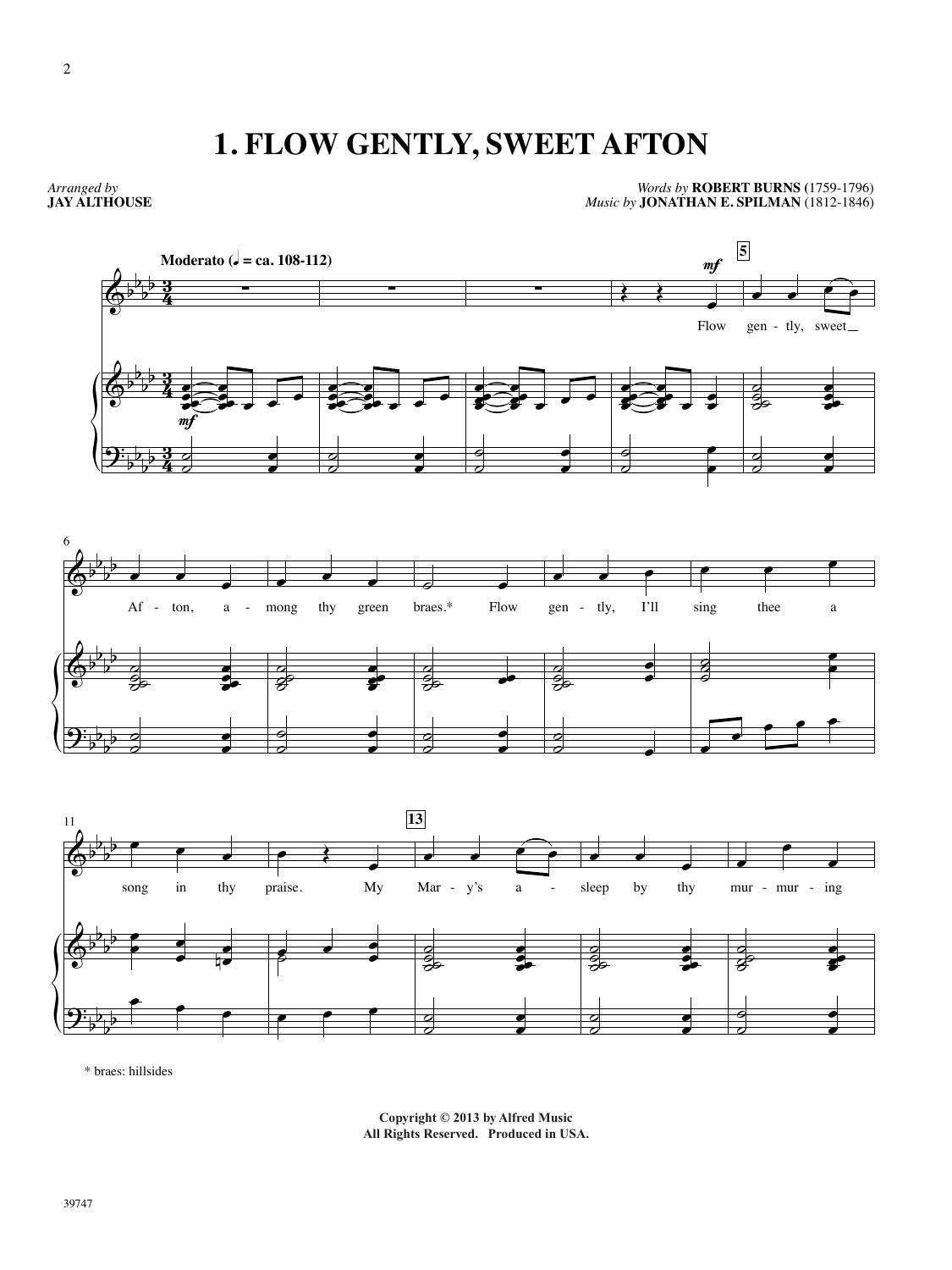### **1. FLOW GENTLY, SWEET AFTON**

*Arranged by* **JAY ALTHOUSE**

*Words by* **ROBERT BURNS (**1759-1796) *Music by* **JONATHAN E. SPILMAN** (1812-1846)



\* braes: hillsides

**Copyright © 2013 by Alfred Music Publishing Co., Inc. Copyright © 2013 by Alfred Music** All Rights Reserved. Produced in USA.